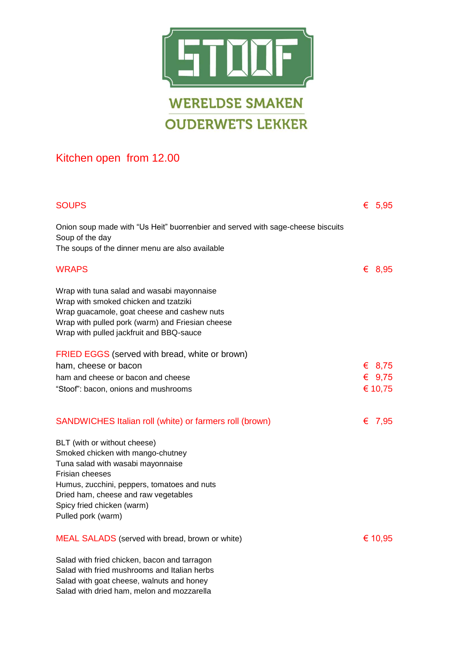

## Kitchen open from 12.00

| <b>SOUPS</b>                                                                                                                                                                                                                                                         | € 5,95   |
|----------------------------------------------------------------------------------------------------------------------------------------------------------------------------------------------------------------------------------------------------------------------|----------|
| Onion soup made with "Us Heit" buorrenbier and served with sage-cheese biscuits<br>Soup of the day<br>The soups of the dinner menu are also available                                                                                                                |          |
|                                                                                                                                                                                                                                                                      |          |
| <b>WRAPS</b>                                                                                                                                                                                                                                                         | € 8,95   |
| Wrap with tuna salad and wasabi mayonnaise<br>Wrap with smoked chicken and tzatziki<br>Wrap guacamole, goat cheese and cashew nuts<br>Wrap with pulled pork (warm) and Friesian cheese<br>Wrap with pulled jackfruit and BBQ-sauce                                   |          |
| FRIED EGGS (served with bread, white or brown)                                                                                                                                                                                                                       |          |
| ham, cheese or bacon                                                                                                                                                                                                                                                 | € 8,75   |
| ham and cheese or bacon and cheese                                                                                                                                                                                                                                   | € $9,75$ |
| "Stoof": bacon, onions and mushrooms                                                                                                                                                                                                                                 | € 10,75  |
| SANDWICHES Italian roll (white) or farmers roll (brown)                                                                                                                                                                                                              | € 7,95   |
| BLT (with or without cheese)<br>Smoked chicken with mango-chutney<br>Tuna salad with wasabi mayonnaise<br>Frisian cheeses<br>Humus, zucchini, peppers, tomatoes and nuts<br>Dried ham, cheese and raw vegetables<br>Spicy fried chicken (warm)<br>Pulled pork (warm) |          |
| <b>MEAL SALADS</b> (served with bread, brown or white)                                                                                                                                                                                                               | € 10,95  |
| Salad with fried chicken, bacon and tarragon<br>Salad with fried mushrooms and Italian herbs<br>Salad with goat cheese, walnuts and honey<br>Salad with dried ham, melon and mozzarella                                                                              |          |